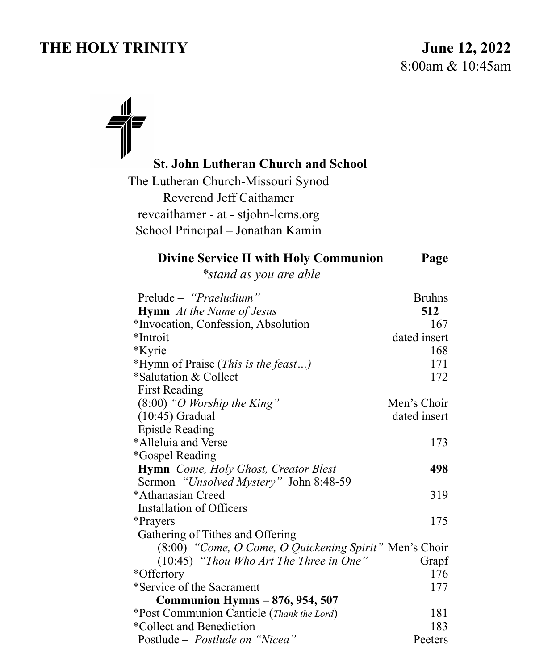# THE HOLY TRINITY June 12, 2022

## **St. John Lutheran Church and School**

The Lutheran Church-Missouri Synod Reverend Jeff Caithamer revcaithamer - at - stjohn-lcms.org School Principal – Jonathan Kamin

#### **Divine Service II with Holy Communion Page**

*\*stand as you are able* 

| Prelude - "Praeludium"                                 | <b>Bruhns</b> |
|--------------------------------------------------------|---------------|
| <b>Hymn</b> At the Name of Jesus                       | 512           |
| *Invocation, Confession, Absolution                    | 167           |
| *Introit                                               | dated insert  |
| *Kyrie                                                 | 168           |
| *Hymn of Praise (This is the feast)                    | 171           |
| *Salutation & Collect                                  | 172           |
| <b>First Reading</b>                                   |               |
| $(8:00)$ "O Worship the King"                          | Men's Choir   |
| $(10:45)$ Gradual                                      | dated insert  |
| <b>Epistle Reading</b>                                 |               |
| *Alleluia and Verse                                    | 173           |
| <i>*Gospel Reading</i>                                 |               |
| <b>Hymn</b> Come, Holy Ghost, Creator Blest            | 498           |
| Sermon "Unsolved Mystery" John 8:48-59                 |               |
| *Athanasian Creed                                      | 319           |
| Installation of Officers                               |               |
| *Prayers                                               | 175           |
| Gathering of Tithes and Offering                       |               |
| (8:00) "Come, O Come, O Quickening Spirit" Men's Choir |               |
| $(10:45)$ "Thou Who Art The Three in One"              | Grapf         |
| *Offertory                                             | 176           |
| *Service of the Sacrament                              | 177           |
| <b>Communion Hymns - 876, 954, 507</b>                 |               |
| *Post Communion Canticle (Thank the Lord)              | 181           |
| *Collect and Benediction                               | 183           |
| Postlude – <i>Postlude on "Nicea"</i>                  | Peeters       |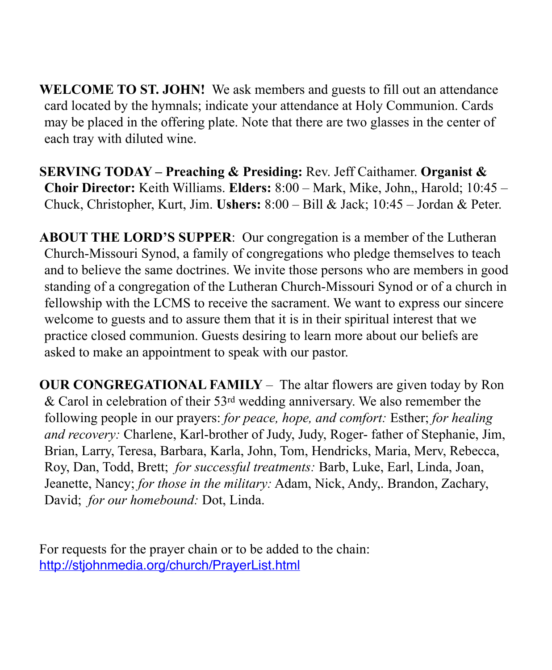**WELCOME TO ST. JOHN!** We ask members and guests to fill out an attendance card located by the hymnals; indicate your attendance at Holy Communion. Cards may be placed in the offering plate. Note that there are two glasses in the center of each tray with diluted wine.

**SERVING TODAY – Preaching & Presiding:** Rev. Jeff Caithamer. **Organist & Choir Director:** Keith Williams. **Elders:** 8:00 – Mark, Mike, John,, Harold; 10:45 – Chuck, Christopher, Kurt, Jim. **Ushers:** 8:00 – Bill & Jack; 10:45 – Jordan & Peter.

**ABOUT THE LORD'S SUPPER**: Our congregation is a member of the Lutheran Church-Missouri Synod, a family of congregations who pledge themselves to teach and to believe the same doctrines. We invite those persons who are members in good standing of a congregation of the Lutheran Church-Missouri Synod or of a church in fellowship with the LCMS to receive the sacrament. We want to express our sincere welcome to guests and to assure them that it is in their spiritual interest that we practice closed communion. Guests desiring to learn more about our beliefs are asked to make an appointment to speak with our pastor.

**OUR CONGREGATIONAL FAMILY** *–* The altar flowers are given today by Ron & Carol in celebration of their 53rd wedding anniversary. We also remember the following people in our prayers: *for peace, hope, and comfort:* Esther; *for healing and recovery:* Charlene, Karl-brother of Judy, Judy, Roger- father of Stephanie, Jim, Brian, Larry, Teresa, Barbara, Karla, John, Tom, Hendricks, Maria, Merv, Rebecca, Roy, Dan, Todd, Brett; *for successful treatments:* Barb, Luke, Earl, Linda, Joan, Jeanette, Nancy; *for those in the military:* Adam, Nick, Andy,. Brandon, Zachary, David; *for our homebound:* Dot, Linda.

For requests for the prayer chain or to be added to the chain: <http://stjohnmedia.org/church/PrayerList.html>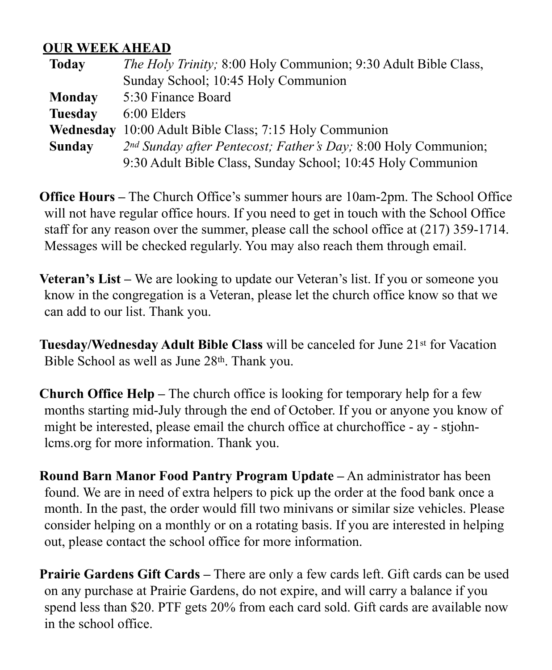### **OUR WEEK AHEAD**

| <b>Today</b>   | <i>The Holy Trinity</i> ; 8:00 Holy Communion; 9:30 Adult Bible Class, |  |
|----------------|------------------------------------------------------------------------|--|
|                | Sunday School; 10:45 Holy Communion                                    |  |
| Monday         | 5:30 Finance Board                                                     |  |
| <b>Tuesday</b> | 6:00 Elders                                                            |  |
| Wednesday      | 10:00 Adult Bible Class; 7:15 Holy Communion                           |  |
| <b>Sunday</b>  | 2nd Sunday after Pentecost; Father's Day; 8:00 Holy Communion;         |  |
|                | 9:30 Adult Bible Class, Sunday School; 10:45 Holy Communion            |  |

**Office Hours –** The Church Office's summer hours are 10am-2pm. The School Office will not have regular office hours. If you need to get in touch with the School Office staff for any reason over the summer, please call the school office at (217) 359-1714. Messages will be checked regularly. You may also reach them through email.

**Veteran's List –** We are looking to update our Veteran's list. If you or someone you know in the congregation is a Veteran, please let the church office know so that we can add to our list. Thank you.

**Tuesday/Wednesday Adult Bible Class** will be canceled for June 21st for Vacation Bible School as well as June 28th. Thank you.

**Church Office Help –** The church office is looking for temporary help for a few months starting mid-July through the end of October. If you or anyone you know of might be interested, please email the church office at churchoffice - ay - stjohnlcms.org for more information. Thank you.

**Round Barn Manor Food Pantry Program Update –** An administrator has been found. We are in need of extra helpers to pick up the order at the food bank once a month. In the past, the order would fill two minivans or similar size vehicles. Please consider helping on a monthly or on a rotating basis. If you are interested in helping out, please contact the school office for more information.

**Prairie Gardens Gift Cards –** There are only a few cards left. Gift cards can be used on any purchase at Prairie Gardens, do not expire, and will carry a balance if you spend less than \$20. PTF gets 20% from each card sold. Gift cards are available now in the school office.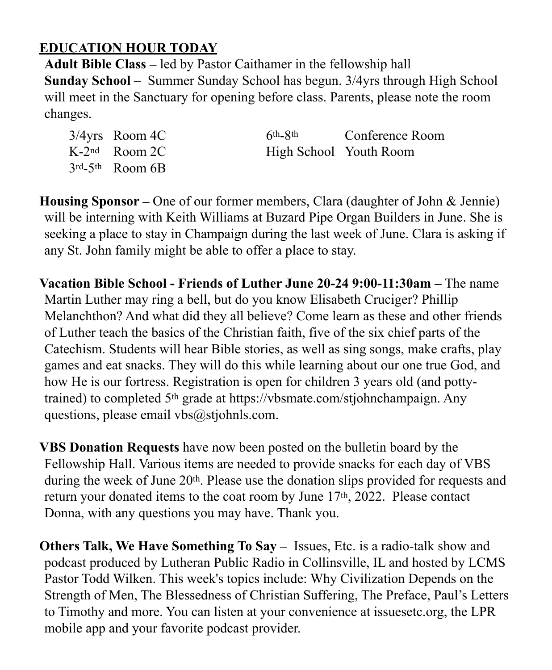# **EDUCATION HOUR TODAY**

**Adult Bible Class –** led by Pastor Caithamer in the fellowship hall **Sunday School** – Summer Sunday School has begun. 3/4yrs through High School will meet in the Sanctuary for opening before class. Parents, please note the room changes.

| $3/4$ yrs Room 4C                       | 6 <sup>th</sup> -8 <sup>th</sup> Conference Room |
|-----------------------------------------|--------------------------------------------------|
| $K-2^{nd}$ Room 2C                      | High School Youth Room                           |
| $3^{\text{rd}} - 5^{\text{th}}$ Room 6B |                                                  |

**Housing Sponsor –** One of our former members, Clara (daughter of John & Jennie) will be interning with Keith Williams at Buzard Pipe Organ Builders in June. She is seeking a place to stay in Champaign during the last week of June. Clara is asking if any St. John family might be able to offer a place to stay.

**Vacation Bible School - Friends of Luther June 20-24 9:00-11:30am –** The name Martin Luther may ring a bell, but do you know Elisabeth Cruciger? Phillip Melanchthon? And what did they all believe? Come learn as these and other friends of Luther teach the basics of the Christian faith, five of the six chief parts of the Catechism. Students will hear Bible stories, as well as sing songs, make crafts, play games and eat snacks. They will do this while learning about our one true God, and how He is our fortress. Registration is open for children 3 years old (and pottytrained) to completed 5th grade at https://vbsmate.com/stjohnchampaign. Any questions, please email vbs $@$ stjohnls.com.

**VBS Donation Requests** have now been posted on the bulletin board by the Fellowship Hall. Various items are needed to provide snacks for each day of VBS during the week of June 20th. Please use the donation slips provided for requests and return your donated items to the coat room by June  $17<sup>th</sup>$ , 2022. Please contact Donna, with any questions you may have. Thank you.

**Others Talk, We Have Something To Say –** Issues, Etc. is a radio-talk show and podcast produced by Lutheran Public Radio in Collinsville, IL and hosted by LCMS Pastor Todd Wilken. This week's topics include: Why Civilization Depends on the Strength of Men, The Blessedness of Christian Suffering, The Preface, Paul's Letters to Timothy and more. You can listen at your convenience at issuesetc.org, the LPR mobile app and your favorite podcast provider.